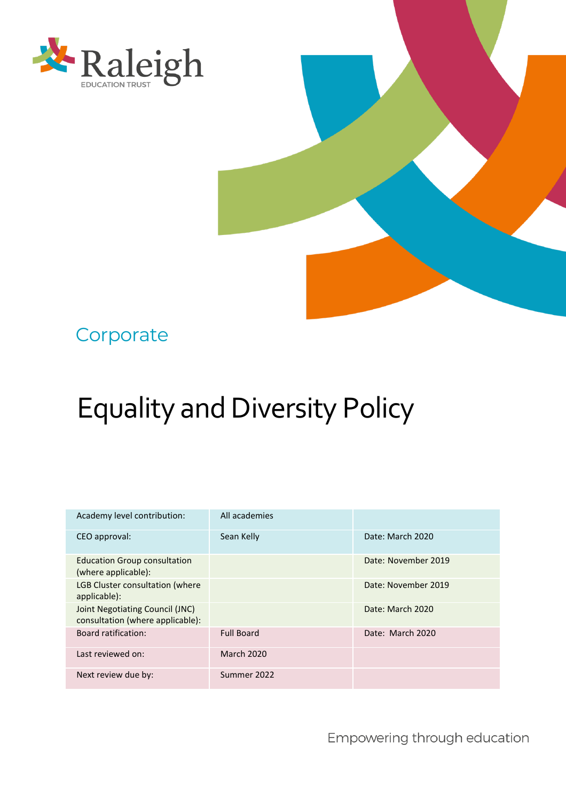



# **Corporate**

# Equality and Diversity Policy

| Academy level contribution:                                         | All academies     |                     |
|---------------------------------------------------------------------|-------------------|---------------------|
| CEO approval:                                                       | Sean Kelly        | Date: March 2020    |
| <b>Education Group consultation</b><br>(where applicable):          |                   | Date: November 2019 |
| <b>LGB Cluster consultation (where</b><br>applicable):              |                   | Date: November 2019 |
| Joint Negotiating Council (JNC)<br>consultation (where applicable): |                   | Date: March 2020    |
| <b>Board ratification:</b>                                          | <b>Full Board</b> | Date: March 2020    |
| Last reviewed on:                                                   | <b>March 2020</b> |                     |
| Next review due by:                                                 | Summer 2022       |                     |

Empowering through education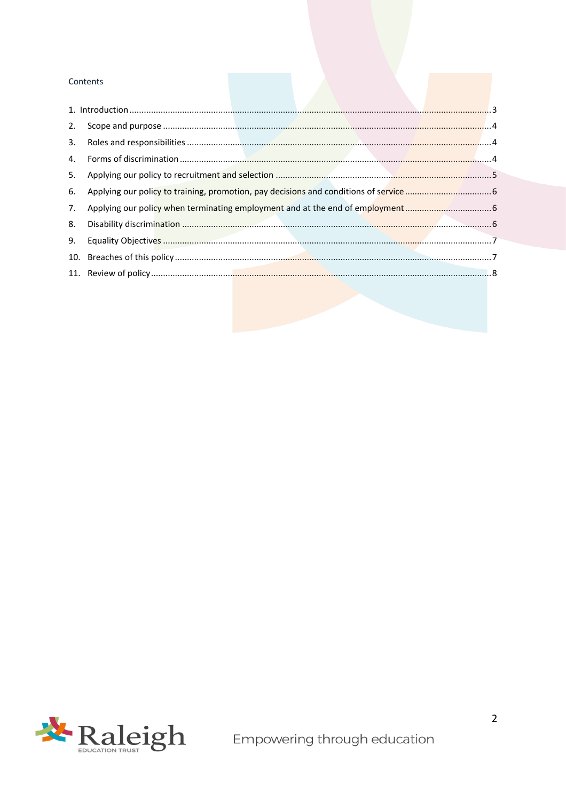#### Contents

| 2. |                                                                              |  |
|----|------------------------------------------------------------------------------|--|
| 3. |                                                                              |  |
| 4. |                                                                              |  |
| 5. |                                                                              |  |
| 6. |                                                                              |  |
| 7. | Applying our policy when terminating employment and at the end of employment |  |
| 8. |                                                                              |  |
|    |                                                                              |  |
|    |                                                                              |  |
|    |                                                                              |  |
|    |                                                                              |  |

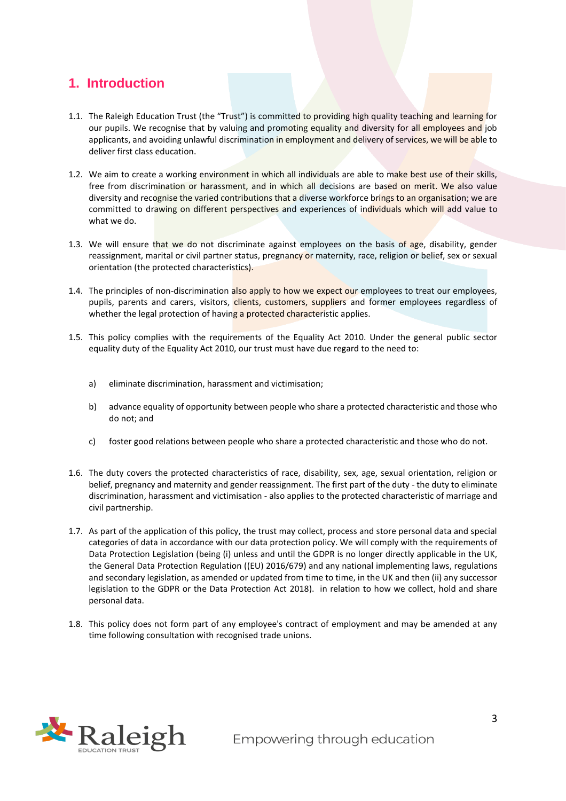### <span id="page-2-0"></span>**1. Introduction**

- 1.1. The Raleigh Education Trust (the "Trust") is committed to providing high quality teaching and learning for our pupils. We recognise that by valuing and promoting equality and diversity for all employees and job applicants, and avoiding unlawful discrimination in employment and delivery of services, we will be able to deliver first class education.
- 1.2. We aim to create a working environment in which all individuals are able to make best use of their skills, free from discrimination or harassment, and in which all decisions are based on merit. We also value diversity and recognise the varied contributions that a diverse workforce brings to an organisation; we are committed to drawing on different perspectives and experiences of individuals which will add value to what we do.
- 1.3. We will ensure that we do not discriminate against employees on the basis of age, disability, gender reassignment, marital or civil partner status, pregnancy or maternity, race, religion or belief, sex or sexual orientation (the protected characteristics).
- 1.4. The principles of non-discrimination also apply to how we expect our employees to treat our employees, pupils, parents and carers, visitors, clients, customers, suppliers and former employees regardless of whether the legal protection of having a protected characteristic applies.
- 1.5. This policy complies with the requirements of the Equality Act 2010. Under the general public sector equality duty of the Equality Act 2010, our trust must have due regard to the need to:
	- a) eliminate discrimination, harassment and victimisation;
	- b) advance equality of opportunity between people who share a protected characteristic and those who do not; and
	- c) foster good relations between people who share a protected characteristic and those who do not.
- 1.6. The duty covers the protected characteristics of race, disability, sex, age, sexual orientation, religion or belief, pregnancy and maternity and gender reassignment. The first part of the duty - the duty to eliminate discrimination, harassment and victimisation - also applies to the protected characteristic of marriage and civil partnership.
- 1.7. As part of the application of this policy, the trust may collect, process and store personal data and special categories of data in accordance with our data protection policy. We will comply with the requirements of Data Protection Legislation (being (i) unless and until the GDPR is no longer directly applicable in the UK, the General Data Protection Regulation ((EU) 2016/679) and any national implementing laws, regulations and secondary legislation, as amended or updated from time to time, in the UK and then (ii) any successor legislation to the GDPR or the Data Protection Act 2018). in relation to how we collect, hold and share personal data.
- 1.8. This policy does not form part of any employee's contract of employment and may be amended at any time following consultation with recognised trade unions.

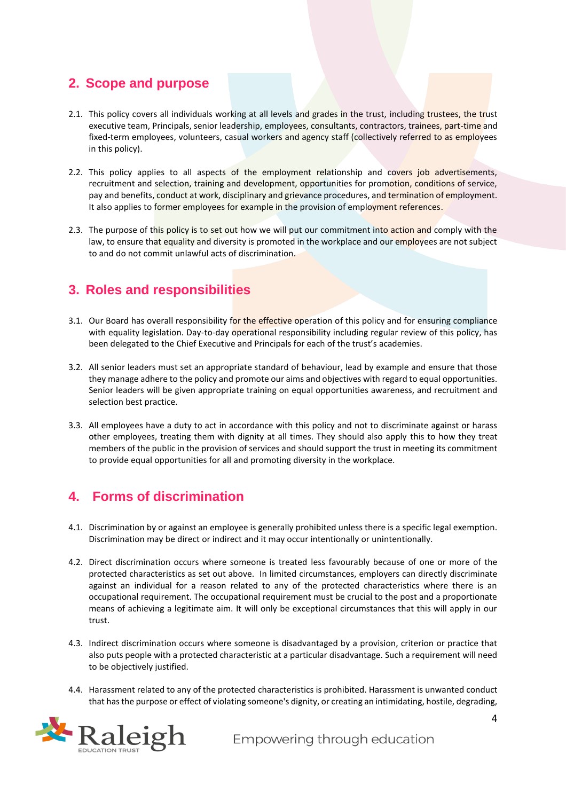#### <span id="page-3-0"></span>**2. Scope and purpose**

- 2.1. This policy covers all individuals working at all levels and grades in the trust, including trustees, the trust executive team, Principals, senior leadership, employees, consultants, contractors, trainees, part-time and fixed-term employees, volunteers, casual workers and agency staff (collectively referred to as employees in this policy).
- 2.2. This policy applies to all aspects of the employment relationship and covers job advertisements, recruitment and selection, training and development, opportunities for promotion, conditions of service, pay and benefits, conduct at work, disciplinary and grievance procedures, and termination of employment. It also applies to former employees for example in the provision of employment references.
- 2.3. The purpose of this policy is to set out how we will put our commitment into action and comply with the law, to ensure that equality and diversity is promoted in the workplace and our employees are not subject to and do not commit unlawful acts of discrimination.

#### <span id="page-3-1"></span>**3. Roles and responsibilities**

- 3.1. Our Board has overall responsibility for the effective operation of this policy and for ensuring compliance with equality legislation. Day-to-day operational responsibility including regular review of this policy, has been delegated to the Chief Executive and Principals for each of the trust's academies.
- 3.2. All senior leaders must set an appropriate standard of behaviour, lead by example and ensure that those they manage adhere to the policy and promote our aims and objectives with regard to equal opportunities. Senior leaders will be given appropriate training on equal opportunities awareness, and recruitment and selection best practice.
- 3.3. All employees have a duty to act in accordance with this policy and not to discriminate against or harass other employees, treating them with dignity at all times. They should also apply this to how they treat members of the public in the provision of services and should support the trust in meeting its commitment to provide equal opportunities for all and promoting diversity in the workplace.

# <span id="page-3-2"></span>**4. Forms of discrimination**

- 4.1. Discrimination by or against an employee is generally prohibited unless there is a specific legal exemption. Discrimination may be direct or indirect and it may occur intentionally or unintentionally.
- 4.2. Direct discrimination occurs where someone is treated less favourably because of one or more of the protected characteristics as set out above. In limited circumstances, employers can directly discriminate against an individual for a reason related to any of the protected characteristics where there is an occupational requirement. The occupational requirement must be crucial to the post and a proportionate means of achieving a legitimate aim. It will only be exceptional circumstances that this will apply in our trust.
- 4.3. Indirect discrimination occurs where someone is disadvantaged by a provision, criterion or practice that also puts people with a protected characteristic at a particular disadvantage. Such a requirement will need to be objectively justified.
- 4.4. Harassment related to any of the protected characteristics is prohibited. Harassment is unwanted conduct that has the purpose or effect of violating someone's dignity, or creating an intimidating, hostile, degrading,

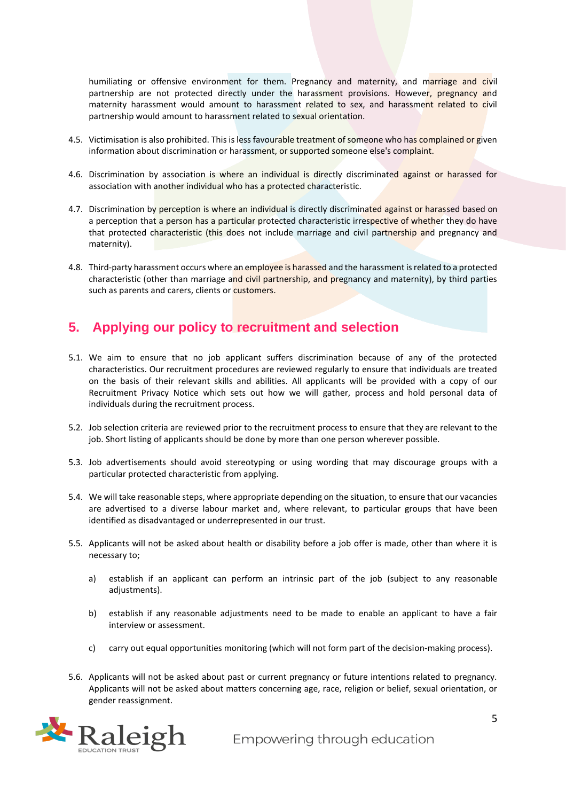humiliating or offensive environment for them. Pregnancy and maternity, and marriage and civil partnership are not protected directly under the harassment provisions. However, pregnancy and maternity harassment would amount to harassment related to sex, and harassment related to civil partnership would amount to harassment related to sexual orientation.

- 4.5. Victimisation is also prohibited. This is less favourable treatment of someone who has complained or given information about discrimination or harassment, or supported someone else's complaint.
- 4.6. Discrimination by association is where an individual is directly discriminated against or harassed for association with another individual who has a protected characteristic.
- 4.7. Discrimination by perception is where an individual is directly discriminated against or harassed based on a perception that a person has a particular protected characteristic irrespective of whether they do have that protected characteristic (this does not include marriage and civil partnership and pregnancy and maternity).
- 4.8. Third-party harassment occurs where an employee is harassed and the harassment is related to a protected characteristic (other than marriage and civil partnership, and pregnancy and maternity), by third parties such as parents and carers, clients or customers.

#### <span id="page-4-0"></span>**5. Applying our policy to recruitment and selection**

- 5.1. We aim to ensure that no job applicant suffers discrimination because of any of the protected characteristics. Our recruitment procedures are reviewed regularly to ensure that individuals are treated on the basis of their relevant skills and abilities. All applicants will be provided with a copy of our Recruitment Privacy Notice which sets out how we will gather, process and hold personal data of individuals during the recruitment process.
- 5.2. Job selection criteria are reviewed prior to the recruitment process to ensure that they are relevant to the job. Short listing of applicants should be done by more than one person wherever possible.
- 5.3. Job advertisements should avoid stereotyping or using wording that may discourage groups with a particular protected characteristic from applying.
- 5.4. We will take reasonable steps, where appropriate depending on the situation, to ensure that our vacancies are advertised to a diverse labour market and, where relevant, to particular groups that have been identified as disadvantaged or underrepresented in our trust.
- 5.5. Applicants will not be asked about health or disability before a job offer is made, other than where it is necessary to;
	- a) establish if an applicant can perform an intrinsic part of the job (subject to any reasonable adjustments).
	- b) establish if any reasonable adjustments need to be made to enable an applicant to have a fair interview or assessment.
	- c) carry out equal opportunities monitoring (which will not form part of the decision-making process).
- 5.6. Applicants will not be asked about past or current pregnancy or future intentions related to pregnancy. Applicants will not be asked about matters concerning age, race, religion or belief, sexual orientation, or gender reassignment.

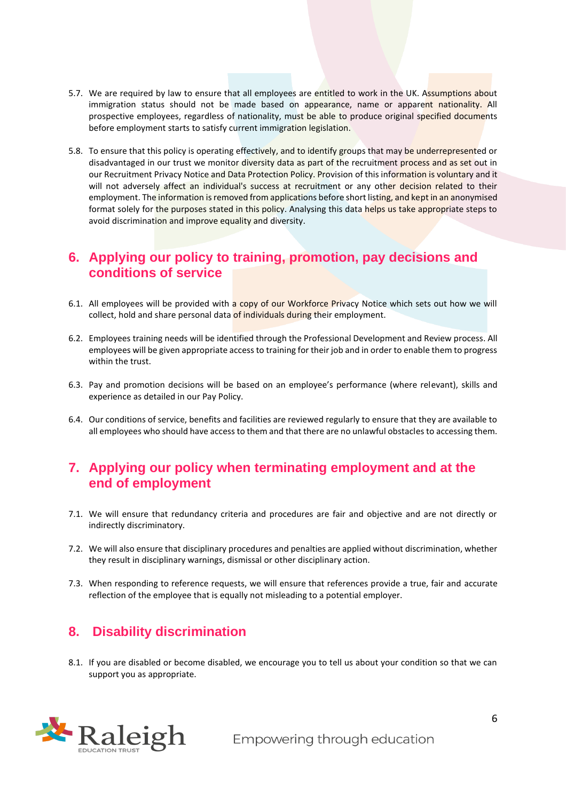- 5.7. We are required by law to ensure that all employees are entitled to work in the UK. Assumptions about immigration status should not be made based on appearance, name or apparent nationality. All prospective employees, regardless of nationality, must be able to produce original specified documents before employment starts to satisfy current immigration legislation.
- 5.8. To ensure that this policy is operating effectively, and to identify groups that may be underrepresented or disadvantaged in our trust we monitor diversity data as part of the recruitment process and as set out in our Recruitment Privacy Notice and Data Protection Policy. Provision of this information is voluntary and it will not adversely affect an individual's success at recruitment or any other decision related to their employment. The information is removed from applications before short listing, and kept in an anonymised format solely for the purposes stated in this policy. Analysing this data helps us take appropriate steps to avoid discrimination and improve equality and diversity.

#### <span id="page-5-0"></span>**6. Applying our policy to training, promotion, pay decisions and conditions of service**

- 6.1. All employees will be provided with a copy of our Workforce Privacy Notice which sets out how we will collect, hold and share personal data of individuals during their employment.
- 6.2. Employees training needs will be identified through the Professional Development and Review process. All employees will be given appropriate access to training for their job and in order to enable them to progress within the trust.
- 6.3. Pay and promotion decisions will be based on an employee's performance (where relevant), skills and experience as detailed in our Pay Policy.
- 6.4. Our conditions of service, benefits and facilities are reviewed regularly to ensure that they are available to all employees who should have access to them and that there are no unlawful obstacles to accessing them.

#### <span id="page-5-1"></span>**7. Applying our policy when terminating employment and at the end of employment**

- 7.1. We will ensure that redundancy criteria and procedures are fair and objective and are not directly or indirectly discriminatory.
- 7.2. We will also ensure that disciplinary procedures and penalties are applied without discrimination, whether they result in disciplinary warnings, dismissal or other disciplinary action.
- 7.3. When responding to reference requests, we will ensure that references provide a true, fair and accurate reflection of the employee that is equally not misleading to a potential employer.

#### <span id="page-5-2"></span>**8. Disability discrimination**

8.1. If you are disabled or become disabled, we encourage you to tell us about your condition so that we can support you as appropriate.

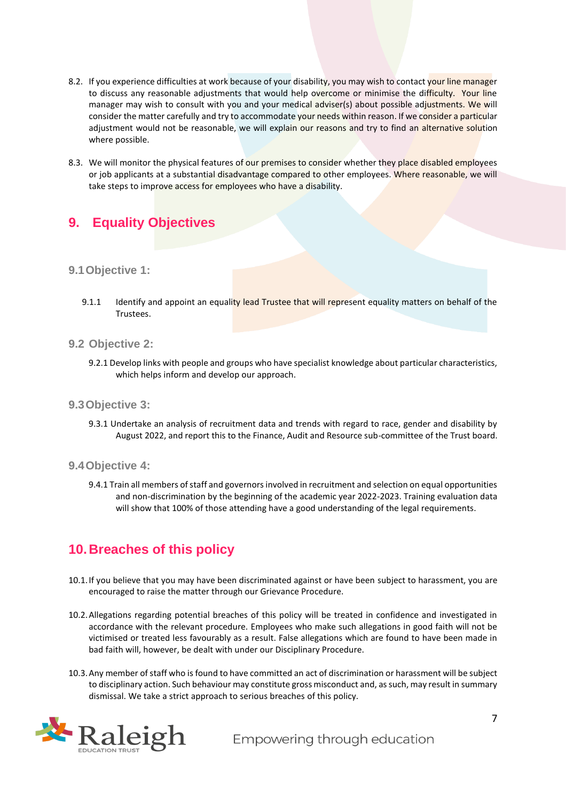- 8.2. If you experience difficulties at work because of your disability, you may wish to contact your line manager to discuss any reasonable adjustments that would help overcome or minimise the difficulty. Your line manager may wish to consult with you and your medical adviser(s) about possible adjustments. We will consider the matter carefully and try to accommodate your needs within reason. If we consider a particular adjustment would not be reasonable, we will explain our reasons and try to find an alternative solution where possible.
- 8.3. We will monitor the physical features of our premises to consider whether they place disabled employees or job applicants at a substantial disadvantage compared to other employees. Where reasonable, we will take steps to improve access for employees who have a disability.

# <span id="page-6-0"></span>**9. Equality Objectives**

#### **9.1Objective 1:**

9.1.1 Identify and appoint an equality lead Trustee that will represent equality matters on behalf of the **Trustees** 

#### **9.2 Objective 2:**

9.2.1 Develop links with people and groups who have specialist knowledge about particular characteristics, which helps inform and develop our approach.

#### **9.3Objective 3:**

- 9.3.1 Undertake an analysis of recruitment data and trends with regard to race, gender and disability by August 2022, and report this to the Finance, Audit and Resource sub-committee of the Trust board.
- **9.4Objective 4:**
	- 9.4.1 Train all members of staff and governors involved in recruitment and selection on equal opportunities and non-discrimination by the beginning of the academic year 2022-2023. Training evaluation data will show that 100% of those attending have a good understanding of the legal requirements.

#### <span id="page-6-1"></span>**10.Breaches of this policy**

- 10.1.If you believe that you may have been discriminated against or have been subject to harassment, you are encouraged to raise the matter through our Grievance Procedure.
- 10.2.Allegations regarding potential breaches of this policy will be treated in confidence and investigated in accordance with the relevant procedure. Employees who make such allegations in good faith will not be victimised or treated less favourably as a result. False allegations which are found to have been made in bad faith will, however, be dealt with under our Disciplinary Procedure.
- 10.3.Any member of staff who is found to have committed an act of discrimination or harassment will be subject to disciplinary action. Such behaviour may constitute gross misconduct and, as such, may result in summary dismissal. We take a strict approach to serious breaches of this policy.